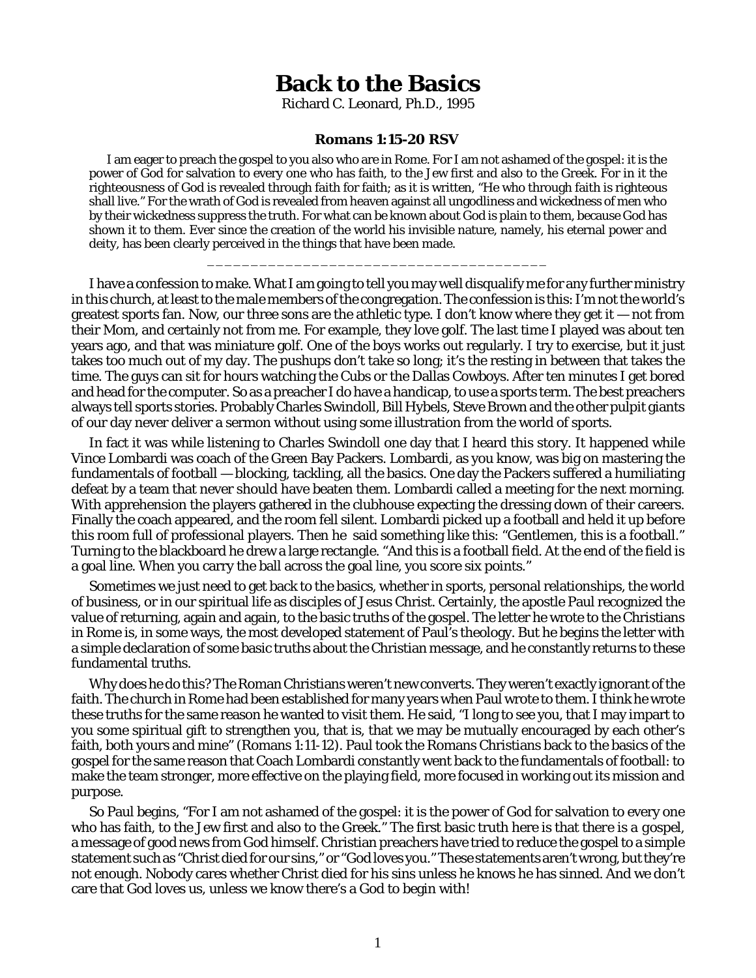## **Back to the Basics**

Richard C. Leonard, Ph.D., 1995

## **Romans 1:15-20 RSV**

I am eager to preach the gospel to you also who are in Rome. For I am not ashamed of the gospel: it is the power of God for salvation to every one who has faith, to the Jew first and also to the Greek. For in it the righteousness of God is revealed through faith for faith; as it is written, "He who through faith is righteous shall live." For the wrath of God is revealed from heaven against all ungodliness and wickedness of men who by their wickedness suppress the truth. For what can be known about God is plain to them, because God has shown it to them. Ever since the creation of the world his invisible nature, namely, his eternal power and deity, has been clearly perceived in the things that have been made.

\_\_\_\_\_\_\_\_\_\_\_\_\_\_\_\_\_\_\_\_\_\_\_\_\_\_\_\_\_\_\_\_\_\_\_\_\_\_\_

I have a confession to make. What I am going to tell you may well disqualify me for any further ministry in this church, at least to the male members of the congregation. The confession is this: I'm not the world's greatest sports fan. Now, our three sons are the athletic type. I don't know where they get it — not from their Mom, and certainly not from me. For example, they love golf. The last time I played was about ten years ago, and that was miniature golf. One of the boys works out regularly. I try to exercise, but it just takes too much out of my day. The pushups don't take so long; it's the resting in between that takes the time. The guys can sit for hours watching the Cubs or the Dallas Cowboys. After ten minutes I get bored and head for the computer. So as a preacher I do have a handicap, to use a sports term. The best preachers always tell sports stories. Probably Charles Swindoll, Bill Hybels, Steve Brown and the other pulpit giants of our day never deliver a sermon without using some illustration from the world of sports.

In fact it was while listening to Charles Swindoll one day that I heard this story. It happened while Vince Lombardi was coach of the Green Bay Packers. Lombardi, as you know, was big on mastering the fundamentals of football — blocking, tackling, all the basics. One day the Packers suffered a humiliating defeat by a team that never should have beaten them. Lombardi called a meeting for the next morning. With apprehension the players gathered in the clubhouse expecting the dressing down of their careers. Finally the coach appeared, and the room fell silent. Lombardi picked up a football and held it up before this room full of professional players. Then he said something like this: "Gentlemen, this is a football." Turning to the blackboard he drew a large rectangle. "And this is a football field. At the end of the field is a goal line. When you carry the ball across the goal line, you score six points."

Sometimes we just need to get back to the basics, whether in sports, personal relationships, the world of business, or in our spiritual life as disciples of Jesus Christ. Certainly, the apostle Paul recognized the value of returning, again and again, to the basic truths of the gospel. The letter he wrote to the Christians in Rome is, in some ways, the most developed statement of Paul's theology. But he begins the letter with a simple declaration of some basic truths about the Christian message, and he constantly returns to these fundamental truths.

Why does he do this? The Roman Christians weren't new converts. They weren't exactly ignorant of the faith. The church in Rome had been established for many years when Paul wrote to them. I think he wrote these truths for the same reason he wanted to visit them. He said, "I long to see you, that I may impart to you some spiritual gift to strengthen you, that is, that we may be mutually encouraged by each other's faith, both yours and mine" (Romans 1:11-12). Paul took the Romans Christians back to the basics of the gospel for the same reason that Coach Lombardi constantly went back to the fundamentals of football: to make the team stronger, more effective on the playing field, more focused in working out its mission and purpose.

So Paul begins, "For I am not ashamed of the gospel: it is the power of God for salvation to every one who has faith, to the Jew first and also to the Greek." The first basic truth here is that *there is a gospel*, a message of good news from God himself. Christian preachers have tried to reduce the gospel to a simple statement such as "Christ died for our sins," or "God loves you." These statements aren't wrong, but they're not enough. Nobody cares whether Christ died for his sins unless he knows he has sinned. And we don't care that God loves us, unless we know there's a God to begin with!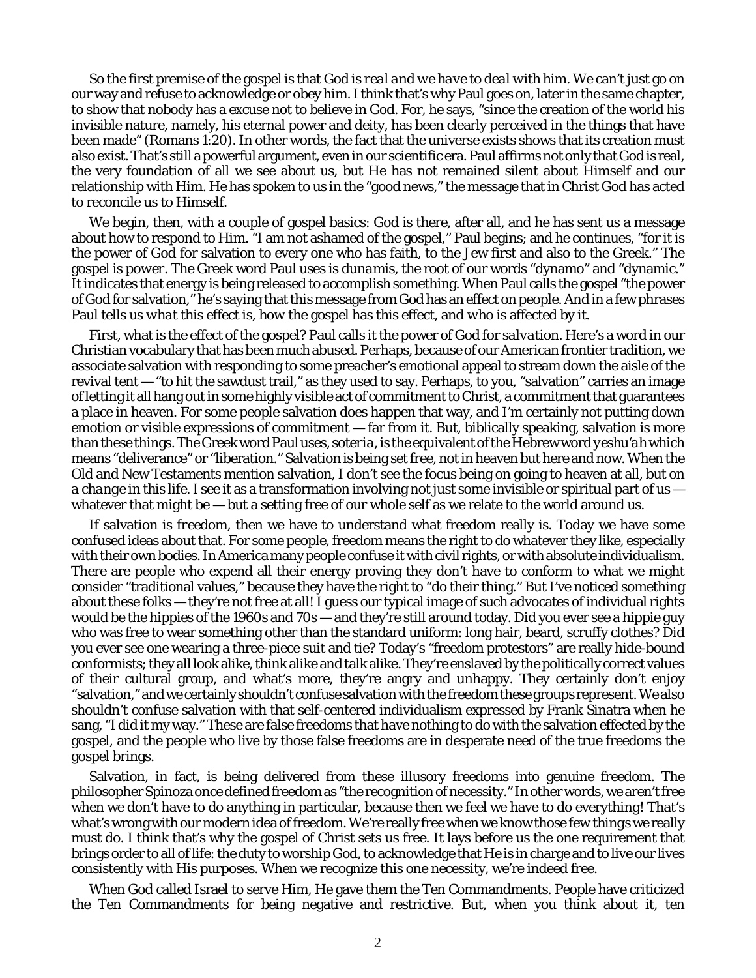So the first premise of the gospel is that *God is real and we have to deal with him.* We can't just go on our way and refuse to acknowledge or obey him. I think that's why Paul goes on, later in the same chapter, to show that nobody has a excuse not to believe in God. For, he says, "since the creation of the world his invisible nature, namely, his eternal power and deity, has been clearly perceived in the things that have been made" (Romans 1:20). In other words, the fact that the universe exists shows that its creation must also exist. That's still a powerful argument, even in our scientific era. Paul affirms not only that God is real, the very foundation of all we see about us, but He has not remained silent about Himself and our relationship with Him. He has spoken to us in the "good news," the message that in Christ God has acted to reconcile us to Himself.

We begin, then, with a couple of gospel basics: God is there, after all, and he has sent us a message about how to respond to Him. "I am not ashamed of the gospel," Paul begins; and he continues, "for it is the power of God for salvation to every one who has faith, to the Jew first and also to the Greek." The gospel is *power*. The Greek word Paul uses is *dunamis*, the root of our words "dynamo" and "dynamic." It indicates that energy is being released to accomplish something. When Paul calls the gospel "the power of God for salvation," he's saying that this message from God has an effect on people. And in a few phrases Paul tells us *what* this effect is, *how* the gospel has this effect, and *who* is affected by it.

First, what is the effect of the gospel? Paul calls it the power of God for *salvation*. Here's a word in our Christian vocabulary that has been much abused. Perhaps, because of our American frontier tradition, we associate salvation with responding to some preacher's emotional appeal to stream down the aisle of the revival tent — "to hit the sawdust trail," as they used to say. Perhaps, to you, "salvation" carries an image of letting it all hang out in some highly visible act of commitment to Christ, a commitment that guarantees a place in heaven. For some people salvation does happen that way, and I'm certainly not putting down emotion or visible expressions of commitment — far from it. But, biblically speaking, salvation is more than these things. The Greek word Paul uses, *soteria*, is the equivalent of the Hebrew word *yeshu'ah* which means "deliverance" or "liberation." Salvation is being set free, not in heaven but here and now. When the Old and New Testaments mention salvation, I don't see the focus being on going to heaven at all, but on *a change in this life.* I see it as a transformation involving not just some invisible or spiritual part of us whatever that might be  $-$  but a setting free of our whole self as we relate to the world around us.

If salvation is *freedom*, then we have to understand what freedom really is. Today we have some confused ideas about that. For some people, freedom means the right to do whatever they like, especially with their own bodies. In America many people confuse it with civil rights, or with absolute individualism. There are people who expend all their energy proving they don't have to conform to what we might consider "traditional values," because they have the right to "do their thing." But I've noticed something about these folks — they're not free at all! I guess our typical image of such advocates of individual rights would be the hippies of the 1960s and 70s — and they're still around today. Did you ever see a hippie guy who was free to wear something other than the standard uniform: long hair, beard, scruffy clothes? Did you ever see one wearing a three-piece suit and tie? Today's "freedom protestors" are really hide-bound conformists; they all look alike, think alike and talk alike. They're enslaved by the politically correct values of their cultural group, and what's more, they're angry and unhappy. They certainly don't enjoy "salvation," and we certainly shouldn't confuse salvation with the freedom these groups represent. We also shouldn't confuse salvation with that self-centered individualism expressed by Frank Sinatra when he sang, "I did it my way." These are false freedoms that have nothing to do with the salvation effected by the gospel, and the people who live by those false freedoms are in desperate need of the true freedoms the gospel brings.

Salvation, in fact, is being delivered from these illusory freedoms into genuine freedom. The philosopher Spinoza once defined freedom as "the recognition of necessity." In other words, we aren't free when we don't have to do anything in particular, because then we feel we have to do everything! That's what's wrong with our modern idea of freedom. We're really free when we know those *few things* we really must do. I think that's why the gospel of Christ sets us free. It lays before us the one requirement that brings order to all of life: the duty to worship God, to acknowledge that He is in charge and to live our lives consistently with His purposes. When we recognize this one necessity, we're indeed free.

When God called Israel to serve Him, He gave them the Ten Commandments. People have criticized the Ten Commandments for being negative and restrictive. But, when you think about it, ten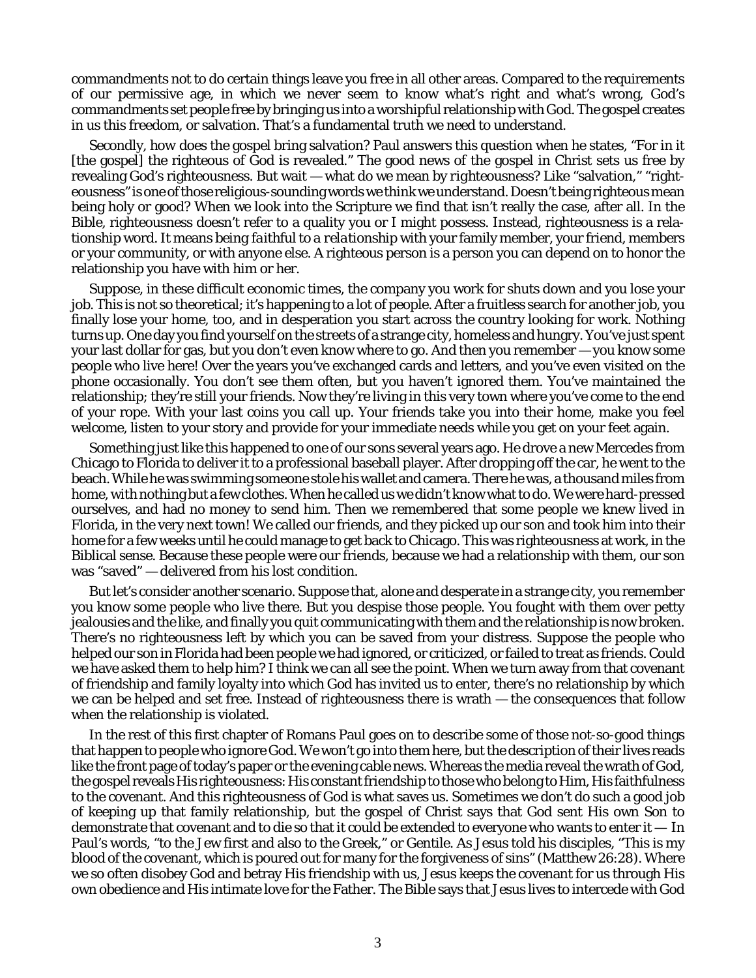commandments *not to do* certain things leave you free in all other areas. Compared to the requirements of our permissive age, in which we never seem to know what's right and what's wrong, God's commandments set people free by bringing us into a worshipful relationship with God. The gospel creates in us this freedom, or salvation. That's a fundamental truth we need to understand.

Secondly, *how* does the gospel bring salvation? Paul answers this question when he states, "For in it [the gospel] the righteous of God is revealed." The good news of the gospel in Christ sets us free by revealing God's righteousness. But wait — what do we mean by *righteousness?* Like "salvation," "righteousness" is one of those religious-sounding words we think we understand. Doesn't being righteous mean being holy or good? When we look into the Scripture we find that isn't really the case, after all. In the Bible, righteousness doesn't refer to a quality you or I might possess. Instead, righteousness is a relationship word. It means *being faithful to a relationship* with your family member, your friend, members or your community, or with anyone else. A righteous person is a person you can depend on to honor the relationship you have with him or her.

Suppose, in these difficult economic times, the company you work for shuts down and you lose your job. This is not so theoretical; it's happening to a lot of people. After a fruitless search for another job, you finally lose your home, too, and in desperation you start across the country looking for work. Nothing turns up. One day you find yourself on the streets of a strange city, homeless and hungry. You've just spent your last dollar for gas, but you don't even know where to go. And then you remember — you know some people who live here! Over the years you've exchanged cards and letters, and you've even visited on the phone occasionally. You don't see them often, but you haven't ignored them. You've maintained the relationship; they're still your friends. Now they're living in this very town where you've come to the end of your rope. With your last coins you call up. Your friends take you into their home, make you feel welcome, listen to your story and provide for your immediate needs while you get on your feet again.

Something just like this happened to one of our sons several years ago. He drove a new Mercedes from Chicago to Florida to deliver it to a professional baseball player. After dropping off the car, he went to the beach. While he was swimming someone stole his wallet and camera. There he was, a thousand miles from home, with nothing but a few clothes. When he called us we didn't know what to do. We were hard-pressed ourselves, and had no money to send him. Then we remembered that some people we knew lived in Florida, in the very next town! We called our friends, and they picked up our son and took him into their home for a few weeks until he could manage to get back to Chicago. This was righteousness at work, in the Biblical sense. Because these people were our friends, because we had a relationship with them, our son was "saved" — delivered from his lost condition.

But let's consider another scenario. Suppose that, alone and desperate in a strange city, you remember you know some people who live there. But you despise those people. You fought with them over petty jealousies and the like, and finally you quit communicating with them and the relationship is now broken. There's no righteousness left by which you can be saved from your distress. Suppose the people who helped our son in Florida had been people we had ignored, or criticized, or failed to treat as friends. Could we have asked them to help him? I think we can all see the point. When we turn away from that covenant of friendship and family loyalty into which God has invited us to enter, there's no relationship by which we can be helped and set free. Instead of righteousness there is wrath — the consequences that follow when the relationship is violated.

In the rest of this first chapter of Romans Paul goes on to describe some of those not-so-good things that happen to people who ignore God. We won't go into them here, but the description of their lives reads like the front page of today's paper or the evening cable news. Whereas the media reveal the wrath of God, the gospel reveals His righteousness: His constant friendship to those who belong to Him, His faithfulness to the covenant. And this righteousness of God is what saves us. Sometimes we don't do such a good job of keeping up that family relationship, but the gospel of Christ says that God sent His own Son to demonstrate that covenant and to die so that it could be extended to everyone who wants to enter it  $-$  In Paul's words, "to the Jew first and also to the Greek," or Gentile. As Jesus told his disciples, "This is my blood of the covenant, which is poured out for many for the forgiveness of sins" (Matthew 26:28). Where we so often disobey God and betray His friendship with us, Jesus keeps the covenant for us through His own obedience and His intimate love for the Father. The Bible says that Jesus lives to intercede with God